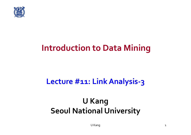

### **Introduction to Data Mining**

### **Lecture #11: LinkAnalysis‐3**

### **U Kang Seoul National University**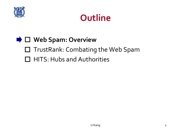

### **Outline**

### **Web Spam: Overview**

- □ TrustRank: Combating the Web Spam
- HITS: Hubs and Authorities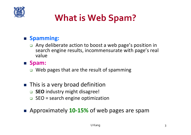

## **What is Web Spam?**

#### **Spamming:**

□ Any deliberate action to boost a web page's position in search engine results, incommensurate with page's real value

#### **Spam:**

□ Web pages that are the result of spamming

- **This is a very broad definition** 
	- **SEO** industry might disagree!
	- $\Box$ SEO = search engine optimization
- Approximately 10-15% of web pages are spam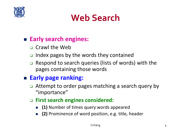

### **Web Search**

#### **Early search engines:**

- **n** Crawl the Web
- $\Box$ Index pages by the words they contained
- $\Box$  Respond to search queries (lists of words) with the pages containing those words

#### **Early page ranking:**

- **□** Attempt to order pages matching a search query by "importance"
- **First search engines considered:**
	- **(1)** Number of times query words appeared
	- $\mathcal{L}_{\text{max}}$ **(2)** Prominence of word position, e.g. title, header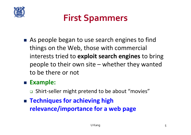

### **First Spammers**

■ As people began to use search engines to find things on the Web, those with commercial interests tried to **exploit search engines** to bring people to their own site – whether they wanted to be there or not

#### **Example:**

- □ Shirt-seller might pretend to be about "movies"
- **Techniques for achieving high relevance/importance for a web page**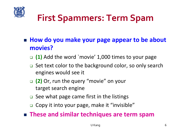

## **First Spammers: Term Spam**

- How do you make your page appear to be about **movies?**
	- **(1)** Add the word `movie' 1,000 times to your page
	- **□** Set text color to the background color, so only search engines would see it
	- **(2)** Or, run the query "movie" on your target search engine
	- □ See what page came first in the listings
	- □ Copy it into your page, make it "invisible"

**These and similar techniques are term spam**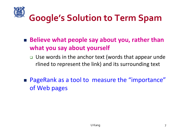

## **Google's Solution to Term Spam**

- Believe what people say about you, rather than **what you say about yourself**
	- □ Use words in the anchor text (words that appear unde rlined to represent the link) and its surrounding text
- **PageRank as a tool to measure the "importance"** of Web pages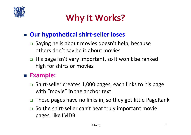

## **Why It Works?**

### **Our hypothetical shirt‐seller loses**

- □ Saying he is about movies doesn't help, because others don't say he is about movies
- $\Box$  His page isn't very important, so it won't be ranked high for shirts or movies

#### **Example:**

- $\Box$  Shirt‐seller creates 1,000 pages, each links to his page with "movie" in the anchor text
- $\Box$ These pages have no links in, so they get little PageRank
- So the shirt-seller can't beat truly important movie pages, like IMDB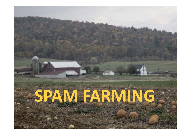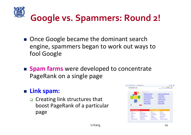

## **Google vs. Spammers: Round 2!**

- Once Google became the dominant search engine, spammers began to work out ways to fool Google
- **Spam farms** were developed to concentrate PageRank on a single page

#### **Link spam:**

**□** Creating link structures that boost PageRank of a particular page

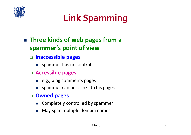

## **Link Spamming**

### ■ Three kinds of web pages from a **spammer's point of view**

- **Inaccessible pages**
	- **SPARE SPARE SPARED SPARED**
- **Accessible pages**
	- e.g., blog comments pages
	- $\mathcal{C}$ spammer can post links to his pages

#### $\Box$ **Owned pages**

- r. Completely controlled by spammer
- $\mathcal{C}$ May span multiple domain names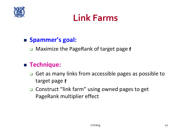

### **Link Farms**

#### **Spammer's goal:**

Maximize the PageRank of target page *<sup>t</sup>*

#### **Technique:**

- **□** Get as many links from accessible pages as possible to target page *t*
- □ Construct "link farm" using owned pages to get PageRank multiplier effect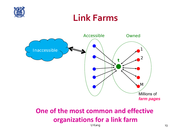

### **Link Farms**



### **One of the most common and effective organizations for a link farm**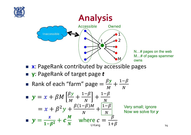



N…# pages on the web M…# of pages spammer

- **x**: PageRank contributed by accessible pages
- y: PageRank of target page *t*
- e. **Rank of each "farm" page**  $=$  $\frac{\beta y}{M} + \frac{1-\beta}{N}$

■ 
$$
y = x + \beta M \left[ \frac{\beta y}{M} + \frac{1-\beta}{N} \right] + \frac{1-\beta}{N}
$$
  
\n
$$
= x + \beta^2 y + \frac{\beta (1-\beta)M}{N} + \frac{1-\beta}{N} \quad \text{Very small; ignore}
$$
\n
$$
y = \frac{x}{1-\beta^2} + c\frac{M}{N} \quad \text{where } c = \frac{\beta}{1+\beta}
$$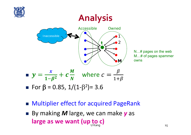

### **Analysis**



N…# pages on the web M…# of pages spammer owns

- For β = 0.85, 1/(1-β<sup>2</sup>)= 3.6
- **Multiplier effect for acquired PageRank**
- U Kang **15** ■ By making *M* large, we can make *y* as **large as we want (up to c)**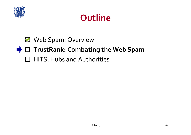

### **Outline**

### Web Spam: Overview

### **TrustRank: Combating the Web Spam**

HITS: Hubs and Authorities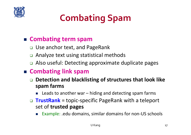

## **Combating Spam**

#### **Combating term spam**

- □ Use anchor text, and PageRank
- $\Box$ Analyze text using statistical methods
- □ Also useful: Detecting approximate duplicate pages

#### **Combating link spam**

- $\Box$  **Detection and blacklisting of structures that look like spam farms**
	- **EXEC** Leads to another war hiding and detecting spam farms
- **TrustRank** = topic‐specific PageRank with a teleport set of **trusted pages**
	- Example: .edu domains, similar domains for non-US schools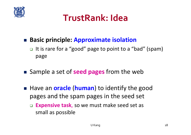

### **TrustRank: Idea**

#### **Basic principle: Approximate isolation**

- **□** It is rare for a "good" page to point to a "bad" (spam) page
- Sample a set of **seed pages** from the web
- Have an **oracle (human)** to identify the good pages and the spam pages in the seed set
	- $\Box$  **Expensive task**, so we must make seed set as small as possible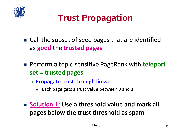

## **Trust Propagation**

- Call the subset of seed pages that are identified as **good** the **trusted pages**
- Perform a topic-sensitive PageRank with **teleport set = trusted pages**
	- **Propagate trust through links:**
		- r. Each page gets a trust value between **0** and **1**
- **Solution 1: Use a threshold value and mark all pages below the trust threshold as spam**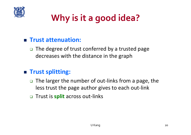

## **Why is it <sup>a</sup> good idea?**

#### **Trust attenuation:**

□ The degree of trust conferred by a trusted page decreases with the distance in the graph

#### **Trust splitting:**

- $\Box$ The larger the number of out-links from a page, the less trust the page author gives to each out‐link
- Trust is **split** across out‐links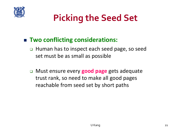

## **Picking the Seed Set**

#### **Two conflicting considerations:**

- □ Human has to inspect each seed page, so seed set must be as small as possible
- Must ensure every **good page** gets adequate trust rank, so need to make all good pages reachable from seed set by short paths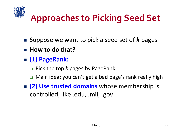

## **Approaches to Picking Seed Set**

- Suppose we want to pick a seed set of *k* pages
- How to do that?
- **(1) PageRank:**
	- Pick the top *k* pages by PageRank
	- Main idea: you can't get a bad page's rank really high
- **(2) Use trusted domains** whose membership is controlled, like .edu, .mil, .gov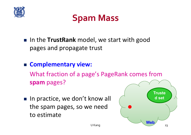

### **Spam Mass**

- **IF In the TrustRank** model, we start with good pages and propagate trust
- **Complementary view:**  What fraction of a page's PageRank comes from **spam** pages?
- In practice, we don't know all the spam pages, so we need to estimate

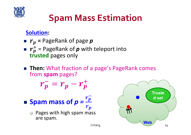

## **Spam Mass Estimation**

#### **Solution:**

- **<sup>=</sup>** PageRank of page *<sup>p</sup>*  $\mathbb{R}^2$  $r_p^+$  = PageRank of  $p$  with teleport into<br> **trusted** pages only trusted pages only
- Then: What fraction of a page's PageRank comes from **spam** pages?

$$
r_p^- = r_p - r_p^+
$$

- $\blacksquare$  **Spam mass of**  $p = \frac{r_p}{r}$  $\bm{r}_{\bm{p}}$ 
	- $\Box$  Pages with high spam mass are spam.

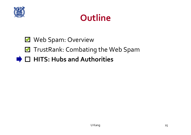

### **Outline**

### Web Spam: Overview

### **TrustRank: Combating the Web Spam**

### **HITS: Hubs and Authorities**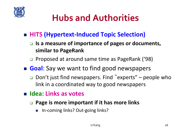

## **Hubs and Authorities**

- **HITS (Hypertext‐Induced Topic Selection)**
	- **Is a measure of importance of pages or documents, similar to PageRank**
	- □ Proposed at around same time as PageRank ('98)
- **Goal**: Say we want to find good newspapers
	- $\Box$  Don't just find newspapers. Find "experts" – people who link in a coordinated way to good newspapers
- **Idea: Links as votes**
	- **Page is more important if it has more links**
		- In-coming links? Out-going links?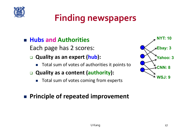

## **Finding newspapers**

#### **Hubs and Authorities**

Each page has 2 scores:

- $\Box$  **Quality as an expert (hub):**
	- r. Total sum of votes of authorities it points to
- **Quality as a content (authority):**
	- $\mathcal{L}_{\mathcal{A}}$ Total sum of votes coming from experts

#### **Principle of repeated improvement**

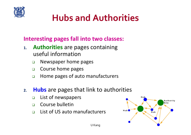

## **Hubs and Authorities**

**Interesting pages fall into two classes:**

- **1. Authorities** are pages containing useful information
	- $\Box$ Newspaper home pages
	- $\Box$ Course home pages
	- $\Box$ Home pages of auto manufacturers
- **2. Hubs** are pages that link to authorities
	- $\Box$ List of newspapers
	- $\Box$ Course bulletin
	- $\Box$ List of US auto manufacturers

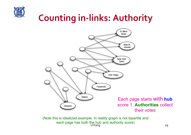

## **Counting in‐links: Authority**



U Kang taon ang panahalang kalendaryon ng Pangalayang Kang taon ng Pangalayang Kang taon ng Pangalayang Kang t (Note this is idealized example. In reality graph is not bipartite and each page has both the hub and authority score)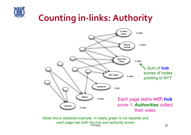

## **Counting in‐links: Authority**



U Kang taon ang ika-20 may 20 may 20 may 20 may 20 may 20 may 20 may 20 may 20 may 20 may 20 may 20 may 20 may (Note this is idealized example. In reality graph is not bipartite and each page has both the hub and authority score)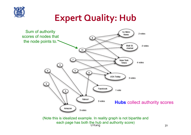

### **Expert Quality: Hub**



U Kang taon ang ika-20 may 20 may 20 may 21 may 21 may 21 may 22 may 22 may 22 may 22 may 22 may 22 may 22 may 22 (Note this is idealized example. In reality graph is not bipartite and each page has both the hub and authority score)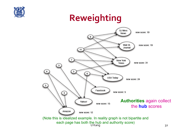

### **Reweighting**

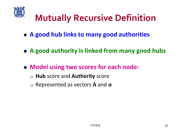

## **Mutually Recursive Definition**

- **A good hub links to many good authorities**
- **A good authority is linked from many good hubs**
- **Model using two scores for each node:**
	- **Hub** score and **Authority** score
	- $\Box$ Represented as vectors  $h$  and  $a$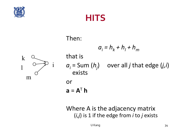

### **HITS**

#### Then:



### $a_i = h_k + h_l + h_m$ that is *ai* = Sum (*hj*) over all *j* that edge (*j,i*) exists or  $a = A^T h$

Where A is the adjacency matrix (*i,j*) is 1 if the edge from *i* to *j* exists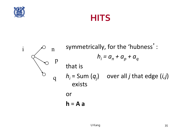

### **HITS**

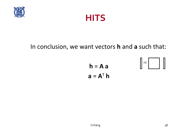



#### In conclusion, we want vectors **h** and **<sup>a</sup>** such that:

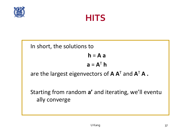



In short, the solutions to

**h** <sup>=</sup>**A a**

$$
\mathbf{a} = \mathbf{A}^{\mathsf{T}} \mathbf{h}
$$

are the largest eigenvectors of **A A**<sup>T</sup> and **A**<sup>T</sup> **A .** 

Starting from random **<sup>a</sup>'** and iterating, we'll eventu ally converge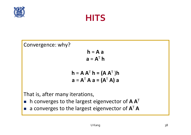

### **HITS**

Convergence: why?

**h** <sup>=</sup>**A a**  $a = A^T h$ 

$$
\mathbf{h} = \mathbf{A} \mathbf{A}^{\mathsf{T}} \mathbf{h} = (\mathbf{A} \mathbf{A}^{\mathsf{T}}) \mathbf{h}
$$

$$
\mathbf{a} = \mathbf{A}^{\mathsf{T}} \mathbf{A} \mathbf{a} = (\mathbf{A}^{\mathsf{T}} \mathbf{A}) \mathbf{a}
$$

That is, after many iterations,

- h converges to the largest eigenvector of **A A**<sup>T</sup>
- a converges to the largest eigenvector of **A**<sup>T</sup> **A**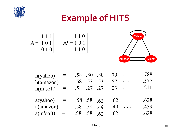

### **Example of HITS**

$$
A = \begin{bmatrix} 1 & 1 & 1 \\ 1 & 0 & 1 \\ 0 & 1 & 0 \end{bmatrix} \qquad A^{T} = \begin{bmatrix} 1 & 1 & 0 \\ 1 & 0 & 1 \\ 1 & 1 & 0 \end{bmatrix}
$$



| h(yahoo)     |  | .58 .80 .80       |     | .79 |                                                    | .788 |
|--------------|--|-------------------|-----|-----|----------------------------------------------------|------|
| h(amazon)    |  | .58 .53           | .53 | .57 | $\ddot{\bullet}$ $\ddot{\bullet}$ $\ddot{\bullet}$ | .577 |
| $h(m$ 'soft) |  | .58 .27 .27       |     | .23 | $\ddot{\bullet}$ $\ddot{\bullet}$ $\ddot{\bullet}$ | .211 |
|              |  |                   |     |     |                                                    |      |
|              |  |                   |     |     |                                                    |      |
| a(yahoo)     |  | $.58$ $.58$ $.62$ |     | .62 | $\cdots$                                           | .628 |
| a(amazon)    |  | .58 .58           | -49 | .49 |                                                    | .459 |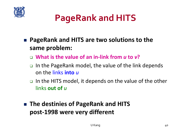

## **PageRank and HITS**

- **PageRank and HITS are two solutions to the same problem:**
	- **What is the value of an in‐link from** *<sup>u</sup>* **to** *v***?**
	- □ In the PageRank model, the value of the link depends on the links **into** *u*
	- □ In the HITS model, it depends on the value of the other links **out of** *<sup>u</sup>*
- **The destinies of PageRank and HITS post‐1998 were very different**